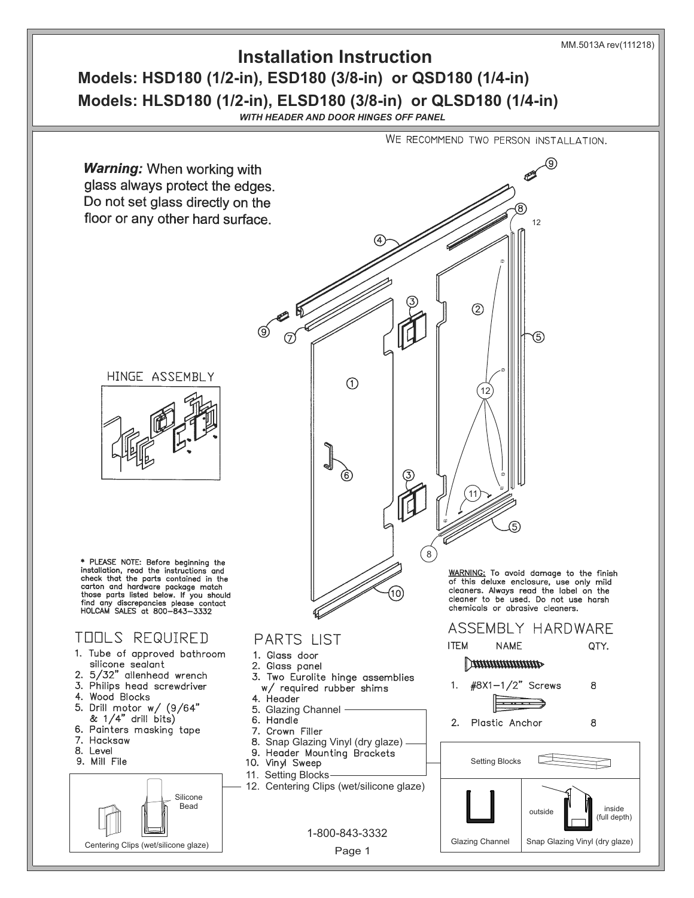

## **Models: HSD180 (1/2-in), ESD180 (3/8-in) or QSD180 (1/4-in) Models: HLSD180 (1/2-in), ELSD180 (3/8-in) or QLSD180 (1/4-in) Installation Instruction**

*WITH HEADER AND DOOR HINGES OFF PANEL*

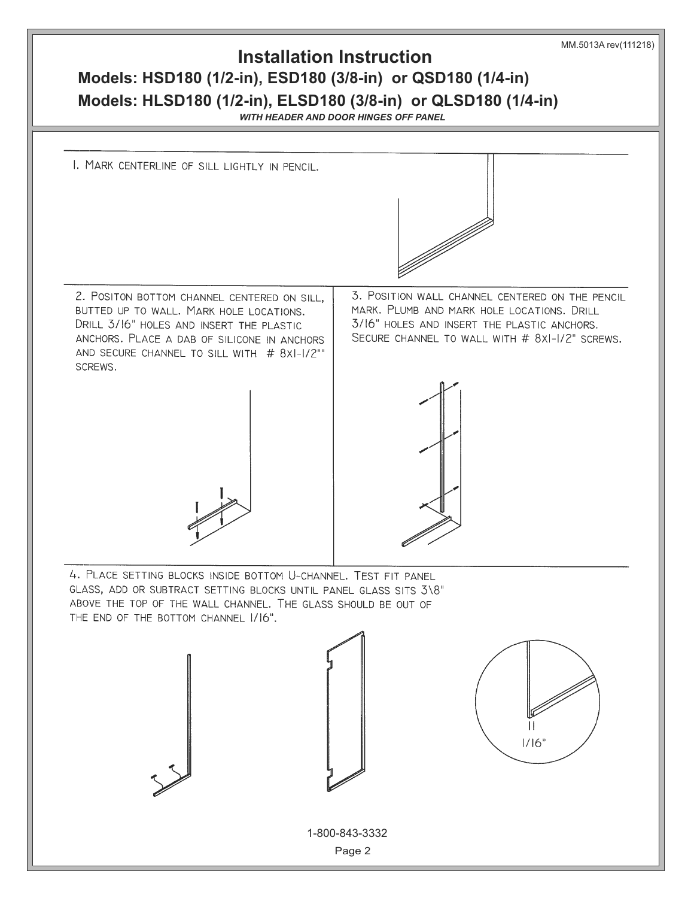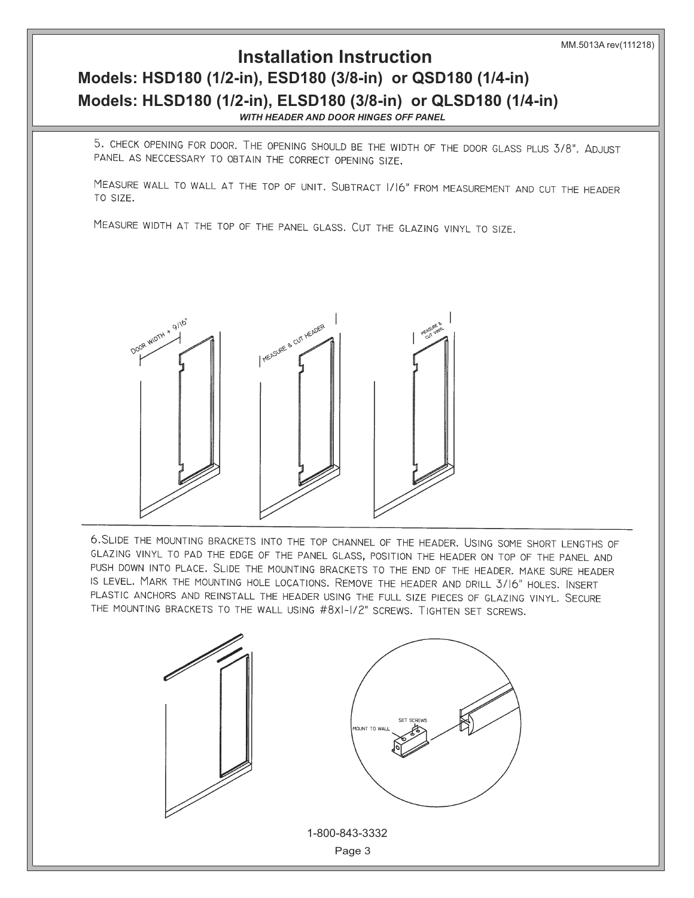## $$ **Installation Instruction** *WITH HEADER AND DOOR HINGES OFF PANEL WITH HEADER AND DOOR HINGES OFF PANEL* **Models: HLSD180 (1/2-in), ELSD180 (3/8-in) or QLSD180 (1/4-in)**

5. CHECK OPENING FOR DOOR. THE OPENING SHOULD BE THE WIDTH OF THE DOOR GLASS PLUS 3/8". ADJUST PANEL AS NECCESSARY TO OBTAIN THE CORRECT OPENING SIZE.

MEASURE WALL TO WALL AT THE TOP OF UNIT. SUBTRACT 1/16" FROM MEASUREMENT AND CUT THE HEADER TO SIZE.

MEASURE WIDTH AT THE TOP OF THE PANEL GLASS. CUT THE GLAZING VINYL TO SIZE.



6. SLIDE THE MOUNTING BRACKETS INTO THE TOP CHANNEL OF THE HEADER. USING SOME SHORT LENGTHS OF GLAZING VINYL TO PAD THE EDGE OF THE PANEL GLASS, POSITION THE HEADER ON TOP OF THE PANEL AND PUSH DOWN INTO PLACE. SLIDE THE MOUNTING BRACKETS TO THE END OF THE HEADER. MAKE SURE HEADER IS LEVEL. MARK THE MOUNTING HOLE LOCATIONS. REMOVE THE HEADER AND DRILL 3/16" HOLES. INSERT PLASTIC ANCHORS AND REINSTALL THE HEADER USING THE FULL SIZE PIECES OF GLAZING VINYL. SECURE THE MOUNTING BRACKETS TO THE WALL USING #8XI-I/2" SCREWS. TIGHTEN SET SCREWS.